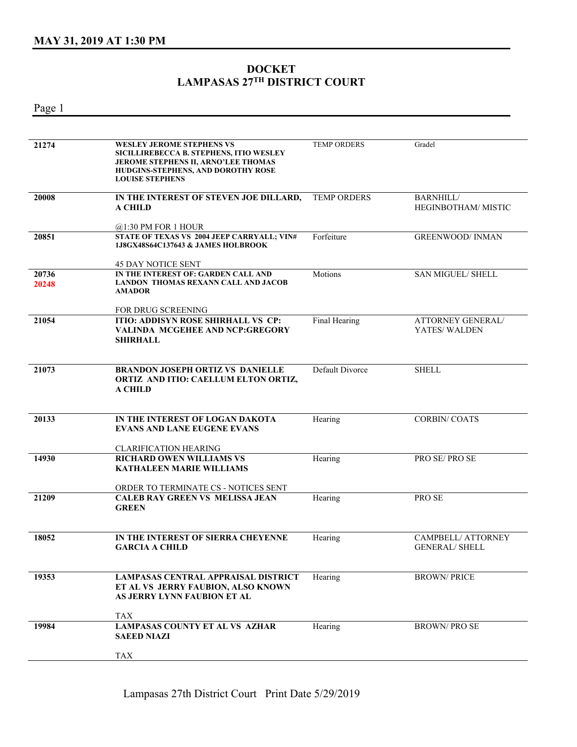## **DOCKET LAMPASAS 27TH DISTRICT COURT**

Page 1

| 21274          | <b>WESLEY JEROME STEPHENS VS</b><br>SICILLIREBECCA B. STEPHENS, ITIO WESLEY<br>JEROME STEPHENS II, ARNO'LEE THOMAS<br>HUDGINS-STEPHENS, AND DOROTHY ROSE<br><b>LOUISE STEPHENS</b> | <b>TEMP ORDERS</b> | Gradel                                      |
|----------------|------------------------------------------------------------------------------------------------------------------------------------------------------------------------------------|--------------------|---------------------------------------------|
| 20008          | IN THE INTEREST OF STEVEN JOE DILLARD,<br><b>A CHILD</b>                                                                                                                           | <b>TEMP ORDERS</b> | <b>BARNHILL/</b><br>HEGINBOTHAM/ MISTIC     |
| 20851          | $@1:30$ PM FOR 1 HOUR<br>STATE OF TEXAS VS 2004 JEEP CARRYALL; VIN#<br>1J8GX48S64C137643 & JAMES HOLBROOK                                                                          | Forfeiture         | <b>GREENWOOD/ INMAN</b>                     |
| 20736<br>20248 | <b>45 DAY NOTICE SENT</b><br>IN THE INTEREST OF: GARDEN CALL AND<br><b>LANDON THOMAS REXANN CALL AND JACOB</b><br><b>AMADOR</b>                                                    | Motions            | SAN MIGUEL/ SHELL                           |
| 21054          | FOR DRUG SCREENING<br><b>ITIO: ADDISYN ROSE SHIRHALL VS CP:</b><br>VALINDA MCGEHEE AND NCP:GREGORY<br>SHIRHALL                                                                     | Final Hearing      | ATTORNEY GENERAL/<br>YATES/WALDEN           |
| 21073          | <b>BRANDON JOSEPH ORTIZ VS DANIELLE</b><br>ORTIZ AND ITIO: CAELLUM ELTON ORTIZ,<br>A CHILD                                                                                         | Default Divorce    | <b>SHELL</b>                                |
| 20133          | IN THE INTEREST OF LOGAN DAKOTA<br><b>EVANS AND LANE EUGENE EVANS</b><br><b>CLARIFICATION HEARING</b>                                                                              | Hearing            | <b>CORBIN/COATS</b>                         |
| 14930          | <b>RICHARD OWEN WILLIAMS VS</b><br>KATHALEEN MARIE WILLIAMS<br>ORDER TO TERMINATE CS - NOTICES SENT                                                                                | Hearing            | PRO SE/PRO SE                               |
| 21209          | <b>CALEB RAY GREEN VS MELISSA JEAN</b><br><b>GREEN</b>                                                                                                                             | Hearing            | PRO SE                                      |
| 18052          | IN THE INTEREST OF SIERRA CHEYENNE<br><b>GARCIA A CHILD</b>                                                                                                                        | Hearing            | CAMPBELL/ ATTORNEY<br><b>GENERAL/ SHELL</b> |
| 19353          | <b>LAMPASAS CENTRAL APPRAISAL DISTRICT</b><br>ET AL VS JERRY FAUBION, ALSO KNOWN<br>AS JERRY LYNN FAUBION ET AL<br><b>TAX</b>                                                      | Hearing            | <b>BROWN/PRICE</b>                          |
| 19984          | <b>LAMPASAS COUNTY ET AL VS AZHAR</b><br><b>SAEED NIAZI</b><br><b>TAX</b>                                                                                                          | Hearing            | <b>BROWN/PROSE</b>                          |